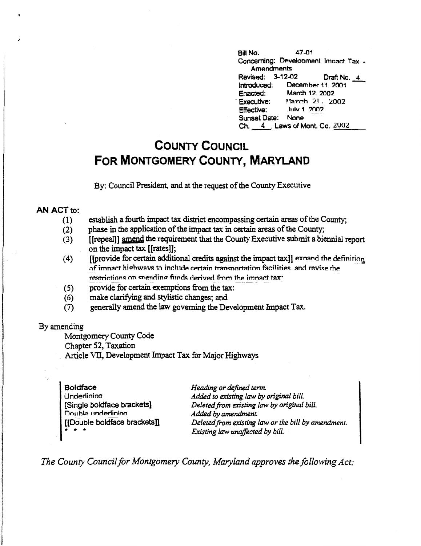$47-01$ Bill No. Concerning: Development Impact Tax -Amendments Revised: 3-12-02 Draft No. 4 Introduced: December 11, 2001 Enacted: March 12, 2002 Executive: March 21. 2002 .http://1.2002 **Effective:** Sunset Date: None Ch. 4 Laws of Mont. Co. 2002

# **COUNTY COUNCIL** FOR MONTGOMERY COUNTY, MARYLAND

By: Council President, and at the request of the County Executive

## AN ACT to:

- establish a fourth impact tax district encompassing certain areas of the County;  $(1)$
- phase in the application of the impact tax in certain areas of the County;  $(2)$
- [[repeal]] amend the requirement that the County Executive submit a biennial report  $(3)$ on the impact tax [[rates]];
- [[provide for certain additional credits against the impact tax]] exnand the definition  $(4)$ of impact highways to include certain transportation facilities, and revise the restrictions on spending funds derived from the impact tax.
- provide for certain exemptions from the tax:  $(5)$
- $(6)$ make clarifying and stylistic changes; and
- generally amend the law governing the Development Impact Tax.  $(7)$

### By amending

Montgomery County Code

Chapter 52, Taxation

Article VII. Development Impact Tax for Maior Highways

| <b>Boldface</b>                                                                                                                                                                                                                                                                                                                                                                                                                                | Heading or defined term.                            |
|------------------------------------------------------------------------------------------------------------------------------------------------------------------------------------------------------------------------------------------------------------------------------------------------------------------------------------------------------------------------------------------------------------------------------------------------|-----------------------------------------------------|
| Underlining                                                                                                                                                                                                                                                                                                                                                                                                                                    | Added to existing law by original bill.             |
| [Single boldface brackets]                                                                                                                                                                                                                                                                                                                                                                                                                     | Deleted from existing law by original bill.         |
| Double underlining                                                                                                                                                                                                                                                                                                                                                                                                                             | Added by amendment.                                 |
| [[Double boldface brackets]]                                                                                                                                                                                                                                                                                                                                                                                                                   | Deleted from existing law or the bill by amendment. |
| $\frac{1}{2} \left( \frac{1}{2} \right) + \frac{1}{2} \left( \frac{1}{2} \right) + \frac{1}{2} \left( \frac{1}{2} \right) + \frac{1}{2} \left( \frac{1}{2} \right) + \frac{1}{2} \left( \frac{1}{2} \right) + \frac{1}{2} \left( \frac{1}{2} \right) + \frac{1}{2} \left( \frac{1}{2} \right) + \frac{1}{2} \left( \frac{1}{2} \right) + \frac{1}{2} \left( \frac{1}{2} \right) + \frac{1}{2} \left( \frac{1}{2} \right) + \frac{1}{2} \left($ | Existing law unaffected by bill.                    |

The County Council for Montgomery County, Maryland approves the following Act: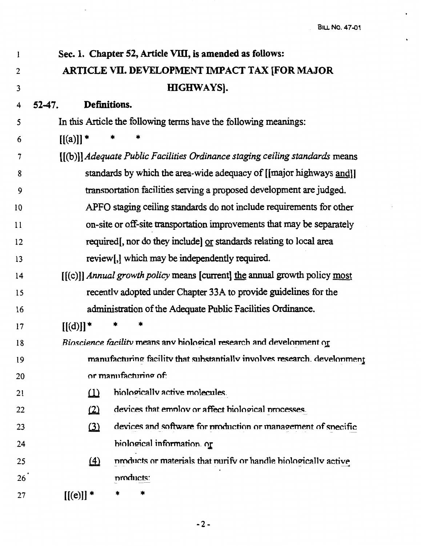| 1  | Sec. 1. Chapter 52, Article VIII, is amended as follows:                       |
|----|--------------------------------------------------------------------------------|
| 2  | ARTICLE VII. DEVELOPMENT IMPACT TAX [FOR MAJOR                                 |
| 3  | HIGHWAYS].                                                                     |
| 4  | Definitions.<br>52-47.                                                         |
| 5  | In this Article the following terms have the following meanings:               |
| 6  | $[[(a)]]^*$                                                                    |
| 7  | [[(b)]] Adequate Public Facilities Ordinance staging ceiling standards means   |
| 8  | standards by which the area-wide adequacy of [[major highways and]]            |
| 9  | transportation facilities serving a proposed development are judged.           |
| 10 | APFO staging ceiling standards do not include requirements for other           |
| 11 | on-site or off-site transportation improvements that may be separately         |
| 12 | required, nor do they include) or standards relating to local area             |
| 13 | review[,] which may be independently required.                                 |
| 14 | $[[(c)]$ Annual growth policy means [current] the annual growth policy most    |
| 15 | recently adopted under Chapter 33A to provide guidelines for the               |
| 16 | administration of the Adequate Public Facilities Ordinance.                    |
| 17 | $[[(d)]]$ *                                                                    |
| 18 | Bioscience facility means any biological research and development or           |
| 19 | manufacturing facility that substantially involves research. develonment       |
| 20 | or manufacturing of:                                                           |
| 21 | biologically active molecules.<br>$\omega$                                     |
| 22 | devices that employ or affect biological processes.<br>$\omega$                |
| 23 | devices and software for production or management of specific<br>$\Omega$      |
| 24 | hiological information. or                                                     |
| 25 | products or materials that purify or handle biologically active<br>$\triangle$ |
| 26 | products:                                                                      |
| 27 | $[[(e)]] *$<br>*                                                               |

 $\mathcal{A}$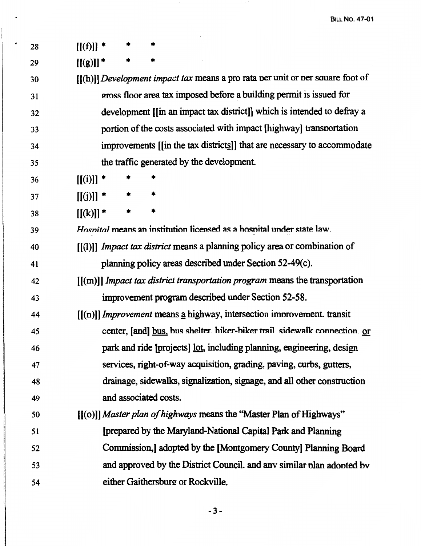| 28 | $[[(f)]]$ *                                                                           |
|----|---------------------------------------------------------------------------------------|
| 29 | $[[(g)]]^*$                                                                           |
| 30 | [[(h)]] <i>Development impact tax</i> means a pro rata per unit or per square foot of |
| 31 | gross floor area tax imposed before a building permit is issued for                   |
| 32 | development [[in an impact tax district]] which is intended to defray a               |
| 33 | portion of the costs associated with impact [highway] transportation                  |
| 34 | improvements [[in the tax districts]] that are necessary to accommodate               |
| 35 | the traffic generated by the development.                                             |
| 36 | $[[(i)]]$ *                                                                           |
| 37 | $[[(j)]]$ *                                                                           |
| 38 | $[[(k)]]$ *                                                                           |
| 39 | Hospital means an institution licensed as a hospital under state law.                 |
| 40 | $[(1)]$ <i>Impact tax district</i> means a planning policy area or combination of     |
| 41 | planning policy areas described under Section 52-49(c).                               |
| 42 | $[(m)]$ <i>Impact tax district transportation program</i> means the transportation    |
| 43 | improvement program described under Section 52-58.                                    |
| 44 | [[(n)]] <i>Improvement</i> means a highway, intersection improvement. transit         |
| 45 | center, [and] bus, bus shelter. hiker-biker trail. sidewalk connection. or            |
| 46 | park and ride [projects] lot, including planning, engineering, design                 |
| 47 | services, right-of-way acquisition, grading, paving, curbs, gutters,                  |
| 48 | drainage, sidewalks, signalization, signage, and all other construction               |
| 49 | and associated costs.                                                                 |
| 50 | [[(o)]] Master plan of highways means the "Master Plan of Highways"                   |
| 51 | [prepared by the Maryland-National Capital Park and Planning                          |
| 52 | Commission, adopted by the [Montgomery County] Planning Board                         |
| 53 | and approved by the District Council. and any similar plan adopted by                 |
| 54 | either Gaithersburg or Rockville.                                                     |

 $\sim$ 

 $\ddot{\phantom{a}}$ 

 $\cdot$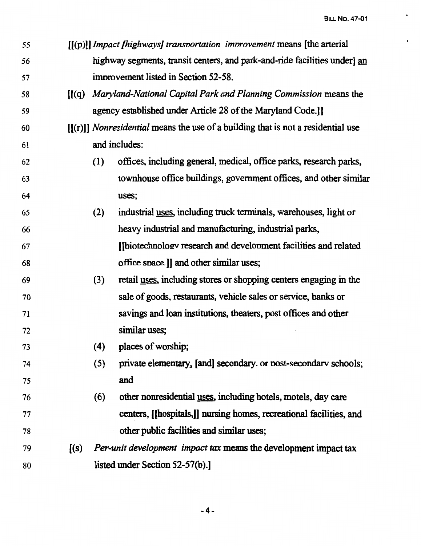| 55 | $[(p)]$ <i>Impact fhighways] transportation improvement</i> means [the arterial] |
|----|----------------------------------------------------------------------------------|
| 56 | highway segments, transit centers, and park-and-ride facilities underl an        |
| 57 | improvement listed in Section 52-58.                                             |

- 58 [(( q) *Mary/and-National Capital Park and Planning Commission* means the 59 agency established under Article 28 of the Maryland Code.]]
- 60 [[(r)]] *Nonresidential* means the use of a building that is not a residential use 61 and includes:
- 62 63 64 (1) offices, including general, medical, office parks, research parks, townhouse office buildings, government offices, and other similar uses;
- 65 66 67 68 (2) industrial uses, including truck tenninals, warehouses, light or heavy industrial and manufacturing, industrial parks, [[biotechnology research and development facilities and related office snace.]] and other similar uses;
- 69 70 71 72 (3) retail uses, including stores or shopping centers engaging in the sale of goods, restaurants, vehicle sales or service, banks or savings and loan institutions, theaters, post offices and other similar uses;
- 73 ( 4) places of worship;
- 74 75  $(5)$  private elementary, [and] secondary. or nost-secondary schools; and
- 76 77 78  $(6)$  other nonresidential uses, including hotels, motels, day care centers, [[hospitals,]] nursing homes, recreational facilities, and other public facilities and similar uses;
- 79 [(s) *Per-unit development impact tax* means the development impact tax 80 listed under Section 52-57(b).]

-4-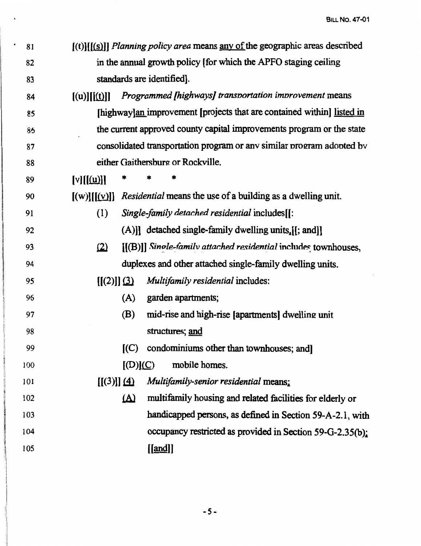- 81 [(t)][(.(§)]] *Planning po/icy area* means any of the geographic areas described 82 in the annual growth policy [ for which the APFO staging ceiling 83 standards are identified].
- 84 [(u)][[(t)]] *Programmed [highways] transportation improvement* means 85 [highway] improvement [projects that are contained within] listed in 86 be current approved county capital improvements program or the state 87 consolidated transportation program or any similar program adopted by 88 either Gaithersburg or Rockville.
- $89$  [v][[(<u>u</u>)]]

93

94

*95* 

96

97

98

99

100

101

- 90  $[(w)][(y)]$  *Residential* means the use of a building as a dwelling unit.
- 91 (I) *Single-family detached residential* includes[[: 92 (A)]] detached single-family dwelling units. II: and I
	- (2) [[(B)]] *Sinole-family attached residential* includes townhouses, duplexes and other attached single-family dwelling units.
	- [[(2)]] !l} *Multifamily residential* includes:
		- (A) garden apartments;
			- (B) mid-rise and high-rise [apartments] dwelling unit structures; and
				- $(C)$  condominiums other than townhouses; and
		- $[(D)](C)$  mobile homes.
		- [[(3)]] ~ *Multifamily-senior residential* means;
- 102 103 104 105 !Al multifamily housing and related facilities for elderly or handicapped persons, as defined in Section 59-A-2.l, with occupancy restricted as provided in Section 59-G-2.35(b):  $[$ [and $]$ ]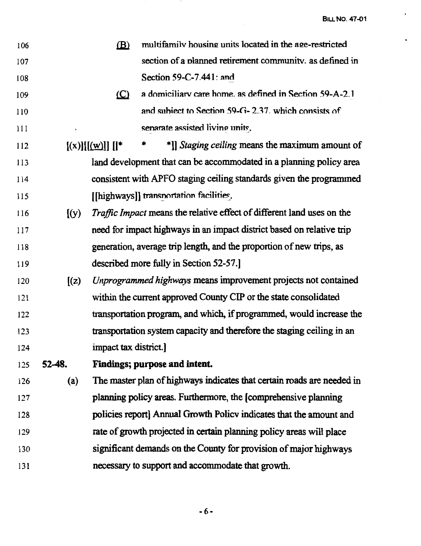$\mathcal{A}^{\mathcal{A}}$  and  $\mathcal{A}^{\mathcal{A}}$ 

 $\ddot{\phantom{0}}$ 

 $\bullet$ 

| 106 |          | $\mathbf{B}$         | multifamily housing units located in the age-restricted                |
|-----|----------|----------------------|------------------------------------------------------------------------|
| 107 |          |                      | section of a planned retirement community, as defined in               |
| 108 |          |                      | Section 59-C-7.441: and                                                |
| 109 |          | $\Omega$             | a domiciliary care home, as defined in Section 59-A-2.1                |
| 110 |          |                      | and subject to Section 59-G-2.37, which consists of                    |
| 111 |          |                      | senarate assisted living units.                                        |
| 112 |          | [(x)][(w)]           | *]] Staging ceiling means the maximum amount of                        |
| 113 |          |                      | land development that can be accommodated in a planning policy area    |
| 114 |          |                      | consistent with APFO staging ceiling standards given the programmed    |
| 115 |          |                      | [[highways]] transportation facilities.                                |
| 116 | (y)      |                      | Traffic Impact means the relative effect of different land uses on the |
| 117 |          |                      | need for impact highways in an impact district based on relative trip  |
| 118 |          |                      | generation, average trip length, and the proportion of new trips, as   |
| 119 |          |                      | described more fully in Section 52-57.                                 |
| 120 | (z)      |                      | Unprogrammed highways means improvement projects not contained         |
| 121 |          |                      | within the current approved County CIP or the state consolidated       |
| 122 |          |                      | transportation program, and which, if programmed, would increase the   |
| 123 |          |                      | transportation system capacity and therefore the staging ceiling in an |
| 124 |          | impact tax district. |                                                                        |
| 125 | $52-48.$ |                      | Findings; purpose and intent.                                          |
| 126 | (a)      |                      | The master plan of highways indicates that certain roads are needed in |
| 127 |          |                      | planning policy areas. Furthermore, the [comprehensive planning        |
| 128 |          |                      | policies report] Annual Growth Policy indicates that the amount and    |
| 129 |          |                      | rate of growth projected in certain planning policy areas will place   |
| 130 |          |                      | significant demands on the County for provision of major highways      |
| 131 |          |                      | necessary to support and accommodate that growth.                      |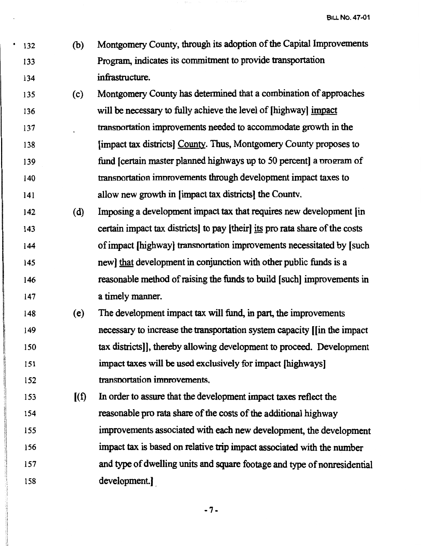133

134

• 132 (b) Montgomery County, through its adoption of the Capital Improvements Program, indicates its commitment to provide transportation infrastructure.

- 135 (c) Montgomery County has detennined that a combination of approaches 136 will be necessary to fully achieve the level of [highway] impact 137 138 139 140 141 transnortation improvements needed to accommodate growth in the [impact tax districts] County. Thus, Montgomery County proposes to fund Icertain master planned highways up to 50 percent] a program of transnortation imnrovements through development impact taxes to allow new growth in [impact tax districts] the Countv.
- 142 ( d) Imposing a development impact tax that requires new development [in 143 certain impact tax districts] to pay [their] its pro rata share of the costs 144 145 146 of impact [highway] transnortation improvements necessitated by [ such new] that development in conjunction with other public funds is a reasonable method of raising the funds to build [such] improvements in 147 **a timely manner.**
- 148 ( e) The development impact tax will fund, in part, the improvements 149 150 151 152 necessary to increase the transportation system capacity [[in the impact tax districts]], thereby allowing development to proceed. Development impact taxes will be used exclusively for impact [highways] transnortation imnmvements.
- 153 [ ( f) In order to assure that the development impact taxes reflect the 154 reasonable pro rata share of the costs of the additional highway 155 156 157 158 improvements associated with each new development, the development impact tax is based on relative trip impact associated with the number and type of dwelling units and square footage and type of nonresidential development.].

-7-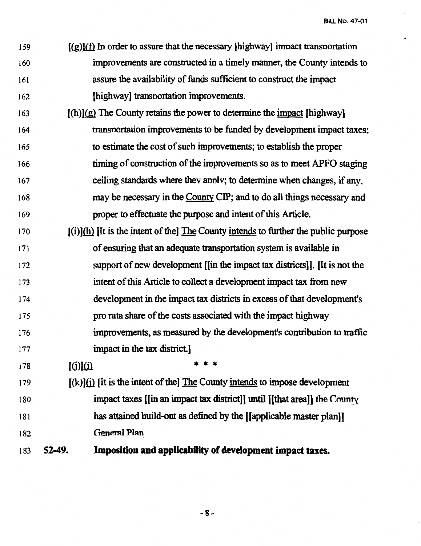- 159 160 161 162  $\mathfrak{f}(g)$  $\mathfrak{f}(f)$  In order to assure that the necessary I highway impact transportation improvements are constructed in a timely manner, the County intends to assure the availability of funds sufficient to construct the impact [highway] transportation improvements.
- 163 164 165 166 167 168 169  $[(h)](g)$  The County retains the power to determine the impact  $[highway]$ transnortation improvements to be funded by development impact taxes; to estimate the cost of such improvements; to establish the proper timing of construction of the improvements so as to meet APFO staging ceiling standards where thev annlv; to detennine when changes, if any, may be necessary in the County CIP; and to do all things necessary and proper to effectuate the purpose and intent of this Article.
- 170 171 172 173 174 175 176 177  $[(i)](h)$  IIt is the intent of the The County intends to further the public purpose of ensuring that an adequate transportation system is available in support of new development [[in the impact tax districts]). [It is not the intent of this Article to collect a development impact tax from new development in the impact tax districts in excess of that development's pro rata share of the costs associated with the impact highway improvements, as measured by the development's contribution to traffic impact in the tax district.)
- 178  $[(i)](i)$
- 179 180 181 182  $[(k)](i)$  [It is the intent of the] The County intends to impose development impact taxes  $\lim_{x \to a} \lim_{x \to a} \lim_{x \to a} \lim_{x \to a} \lim_{x \to a} \lim_{x \to a} \lim_{x \to a} \lim_{x \to a} \lim_{x \to a} \lim_{x \to a} \lim_{x \to a} \lim_{x \to a} \lim_{x \to a} \lim_{x \to a} \lim_{x \to a} \lim_{x \to a} \lim_{x \to a} \lim_{x \to a} \lim_{x \to a} \lim_{x \to a} \lim_{x \to a} \lim_{x \to a} \lim_{x \to a} \lim_{x \to a} \lim_{x \to a} \lim_{x \to a$ has attained build-out as defined by the [[applicable master plan]] General Plan

\* \* \*

183 **52-49. Imposition and applicability of development impact taxes.** 

-8-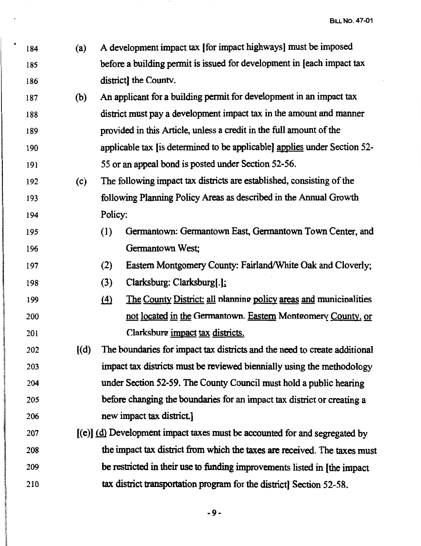- 184 (a) A development impact tax [for impact highways] must be imposed 185 186 before a building permit is issued for development in [each impact tax district] the Countv.
- 187 (b) An applicant for a building permit for development in an impact tax 188 189 190 191 district must pay a development impact tax in the amount and manner provided in this Article, unless a credit in the full amount of the applicable tax [is determined to be applicable) applies under Section 52- 55 or an appeal bond is posted under Section 52-56.
- 192 ( c) The following impact tax districts are established, consisting of the 193 following Planning Policy Areas as described in the Annual Growth 194 Policy:
- 195 196 (1) Germantown: Germantown East, Germantown Town Center, and Germantown West;
- 197 (2) Eastern Montgomery County: Fairland/White Oak and Cloverly;
- 198 (3) Clarksburg: Clarksburg[.];
- 199 200 201  $f(4)$  The County District: all nlanning policy areas and municipalities not located in the Germantown. Eastern Monteomery County, or Clarksburg impact tax districts.
- 202 203 204  $[(d)$  The boundaries for impact tax districts and the need to create additional impact tax districts must be reviewed biennially using the methodology under Section 52-59. The County Council must hold a public hearing 205 before changing the boundaries for an impact tax district or creating a 206 new impact tax district.
- 207 [(e)] (d) Development impact taxes must be accounted for and segregated by 208 the impact tax district from which the taxes are received. The taxes must 209 210 be restricted in their use to funding improvements listed in (the impact tax district transportation program for the districtl Section 52-58.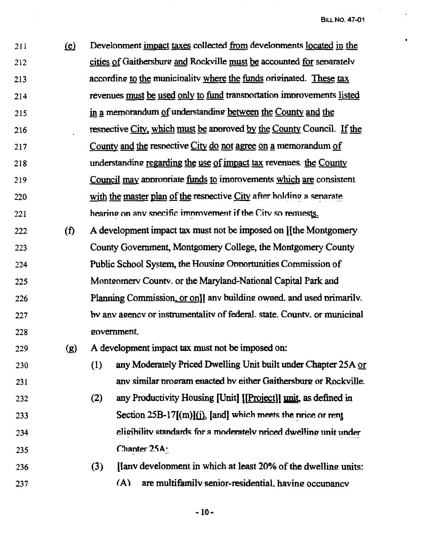211 (e) Development impact taxes collected from developments located in the 212 cities of Gaithersburg and Rockville must be accounted for senaratelv 213 214 215 216 217 218 219 220 221 according to the municipality where the funds originated. These tax revenues must be used only to fund transnortation imnrovements listed in a memorandum of understanding between the County and the respective City, which must be approved by the County Council. If the County and the respective City do not agree on a memorandum of understanding regarding the use of impact tax revenues. the County Council may appropriate funds to improvements which are consistent with the master plan of the respective City after holding a senarate hearing on any specific improvement if the City so requests. 222 (f) A development impact tax must not be imposed on ([the Montgomery 223 224 225 226 227 228 County Government, Montgomery College, the Montgomery County Public School System, the Housing Opportunities Commission of Montgomery County. or the Maryland-National Capital Park and Planning Commission, or onll any building owned, and used primarily. bv anv a2encv or instrumentalitv of federal. state. Countv. or municinal 2ovemment. 229 (g) A development impact tax must not be imposed on: 230 (1) any Moderately Priced Dwelling Unit built under Chapter 25A or 231 232 233 234 235 236 237 any similar program enacted by either Gaithersburg or Rockville. (2) any Productivity Housing [Unit]  $[|Project]|$  unit, as defined in Section  $25B-17[(m)](i)$ , [and] which meets the nrice or rent eligibility standards for a moderately priced dwelling unit under Chanter  $25A \cdot$  $(3)$  [Janv development in which at least 20% of the dwelling units:  $(A)$  are multifamily senior-residential, having occupancy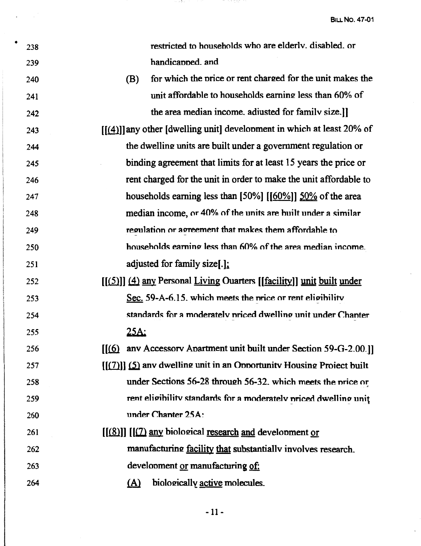| ٠ | 238 |                               | restricted to households who are elderly. disabled. or                   |
|---|-----|-------------------------------|--------------------------------------------------------------------------|
|   | 239 |                               | handicapped. and                                                         |
|   | 240 | (B)                           | for which the price or rent charged for the unit makes the               |
|   | 241 |                               | unit affordable to households earning less than 60% of                   |
|   | 242 |                               | the area median income. adjusted for family size.                        |
|   | 243 |                               | $[[(4)]]$ any other [dwelling unit] development in which at least 20% of |
|   | 244 |                               | the dwelling units are built under a government regulation or            |
|   | 245 |                               | binding agreement that limits for at least 15 years the price or         |
|   | 246 |                               | rent charged for the unit in order to make the unit affordable to        |
|   | 247 |                               | households earning less than [50%] [[60%]] 50% of the area               |
|   | 248 |                               | median income, or 40% of the units are built under a similar             |
|   | 249 |                               | regulation or agreement that makes them affordable to                    |
|   | 250 |                               | households earning less than 60% of the area median income.              |
|   | 251 |                               | adjusted for family size[.];                                             |
|   | 252 |                               | [[(5)]] (4) any Personal Living Ouarters [[facility]] unit built under   |
|   | 253 |                               | Sec. 59-A-6.15. which meets the price or rent eligibility                |
|   | 254 |                               | standards for a moderately priced dwelling unit under Chanter            |
|   | 255 | <u> 25A:</u>                  |                                                                          |
|   | 256 | $\mathfrak{f}(\underline{6})$ | anv Accessory Apartment unit built under Section 59-G-2.00.]             |
|   | 257 |                               | $[(7)]$ (5) any dwelling unit in an Opportunity Housing Project built    |
|   | 258 |                               | under Sections 56-28 through 56-32, which meets the price or             |
|   | 259 |                               | rent eligibility standards for a moderately priced dwelling unit         |
|   | 260 |                               | under Chanter 25A:                                                       |
|   | 261 |                               | [[(8)]] [[(7) any biological research and development or                 |
|   | 262 |                               | manufacturing facility that substantially involves research.             |
|   | 263 |                               | development or manufacturing of:                                         |
|   | 264 | <u>(A)</u>                    | biologically active molecules.                                           |
|   |     |                               |                                                                          |

人名英拉

어느가 있었다.

-11-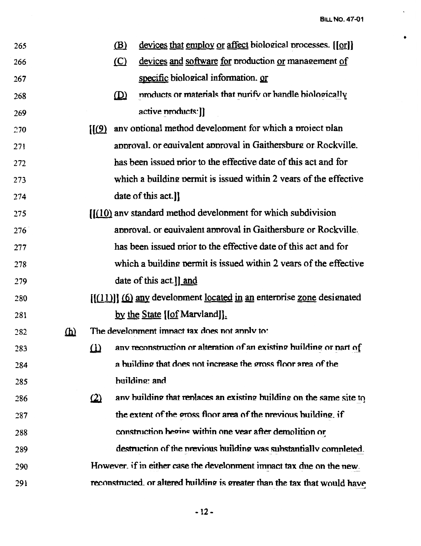$\ddot{\phantom{0}}$ 

 $\bullet$ 

| 265 |          |                            | <u>(B)</u>   | devices that employ or affect biological processes. [[or]]                 |
|-----|----------|----------------------------|--------------|----------------------------------------------------------------------------|
| 266 |          |                            | $\circ$      | devices and software for production or management of                       |
| 267 |          |                            |              | specific biological information. or                                        |
| 268 |          |                            | $\mathbf{D}$ | products or materials that nurify or handle biologically                   |
| 269 |          |                            |              | active products: ]]                                                        |
| 270 |          | $\left[\frac{1}{9}\right]$ |              | any optional method development for which a project plan                   |
| 271 |          |                            |              | approval. or equivalent approval in Gaithersburg or Rockville.             |
| 272 |          |                            |              | has been issued prior to the effective date of this act and for            |
| 273 |          |                            |              | which a building permit is issued within 2 years of the effective          |
| 274 |          |                            |              | date of this act.]]                                                        |
| 275 |          |                            |              | $[[(10)]$ anv standard method development for which subdivision            |
| 276 |          |                            |              | approval. or equivalent approval in Gaithersburg or Rockville.             |
| 277 |          |                            |              | has been issued prior to the effective date of this act and for            |
| 278 |          |                            |              | which a building permit is issued within 2 years of the effective          |
| 279 |          |                            |              | date of this act ]] and                                                    |
| 280 |          |                            |              | $[(11)]$ (6) any development located in an enterprise zone designated      |
| 281 |          |                            |              | by the State [[of Marvland]].                                              |
| 282 | $\Omega$ |                            |              | The develonment imnact tax does not annly to:                              |
| 283 |          |                            |              | (1) any reconstruction or alteration of an existing building or part of    |
| 284 |          |                            |              | a building that does not increase the gross floor area of the              |
| 285 |          |                            |              | building: and                                                              |
| 286 |          | $\Omega$                   |              | any building that replaces an existing building on the same site to        |
| 287 |          |                            |              | the extent of the gross floor area of the previous building, if            |
| 288 |          |                            |              | construction begins within one vear after demolition or                    |
| 289 |          |                            |              | destruction of the previous building was substantially completed.          |
| 290 |          |                            |              | However, if in either case the development impact tax due on the new.      |
| 291 |          |                            |              | reconstructed. or altered building is greater than the tax that would have |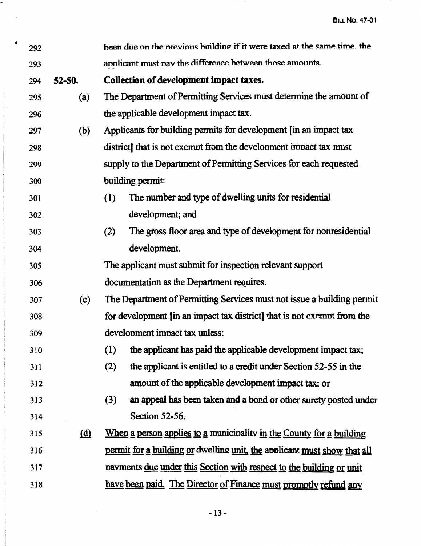| ٠ | 292 |            |     | been due on the previous building if it were taxed at the same time, the |
|---|-----|------------|-----|--------------------------------------------------------------------------|
|   | 293 |            |     | annlicant must nav the difference between those amounts.                 |
|   | 294 | 52-50.     |     | Collection of development impact taxes.                                  |
|   | 295 | (a)        |     | The Department of Permitting Services must determine the amount of       |
|   | 296 |            |     | the applicable development impact tax.                                   |
|   | 297 | (b)        |     | Applicants for building permits for development [in an impact tax        |
|   | 298 |            |     | district] that is not exempt from the development impact tax must        |
|   | 299 |            |     | supply to the Department of Permitting Services for each requested       |
|   | 300 |            |     | building permit:                                                         |
|   | 301 |            | (1) | The number and type of dwelling units for residential                    |
|   | 302 |            |     | development; and                                                         |
|   | 303 |            | (2) | The gross floor area and type of development for nonresidential          |
|   | 304 |            |     | development.                                                             |
|   | 305 |            |     | The applicant must submit for inspection relevant support                |
|   | 306 |            |     | documentation as the Department requires.                                |
|   | 307 | (c)        |     | The Department of Permitting Services must not issue a building permit   |
|   | 308 |            |     | for development (in an impact tax district) that is not exempt from the  |
|   | 309 |            |     | development impact tax unless:                                           |
|   | 310 |            |     | (1) the applicant has paid the applicable development impact tax;        |
|   | 311 |            | (2) | the applicant is entitled to a credit under Section 52-55 in the         |
|   | 312 |            |     | amount of the applicable development impact tax; or                      |
|   | 313 |            | (3) | an appeal has been taken and a bond or other surety posted under         |
|   | 314 |            |     | Section 52-56.                                                           |
|   | 315 | <u>(d)</u> |     | When a person applies to a municipality in the County for a building     |
|   | 316 |            |     | permit for a building or dwelling unit, the applicant must show that all |
|   | 317 |            |     | payments due under this Section with respect to the building or unit     |
|   | 318 |            |     | have been paid. The Director of Finance must promptly refund any         |

屎

 $\label{eq:2} \frac{1}{\sqrt{2}}\left(\frac{1}{\sqrt{2}}\right)^{2} \left(\frac{1}{\sqrt{2}}\right)^{2} \left(\frac{1}{\sqrt{2}}\right)^{2} \left(\frac{1}{\sqrt{2}}\right)^{2} \left(\frac{1}{\sqrt{2}}\right)^{2} \left(\frac{1}{\sqrt{2}}\right)^{2} \left(\frac{1}{\sqrt{2}}\right)^{2} \left(\frac{1}{\sqrt{2}}\right)^{2} \left(\frac{1}{\sqrt{2}}\right)^{2} \left(\frac{1}{\sqrt{2}}\right)^{2} \left(\frac{1}{\sqrt{2}}\right)^{2} \left(\frac{$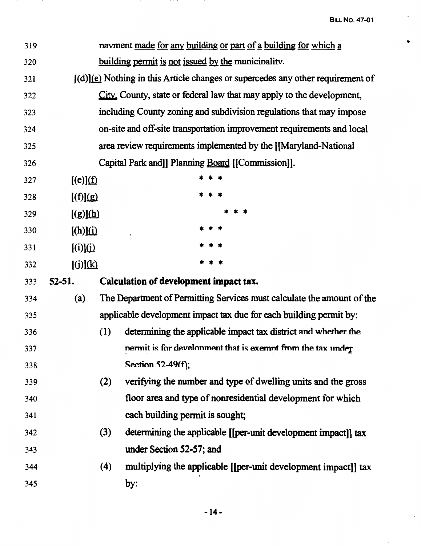$-$ 

 $\bullet$ 

 $\frac{1}{2}$ 

 $\hat{\boldsymbol{\beta}}$ 

| 319 |                        |     | payment made for any building or part of a building for which a                   |
|-----|------------------------|-----|-----------------------------------------------------------------------------------|
| 320 |                        |     | building permit is not issued by the municipality.                                |
| 321 |                        |     | $[(d)](e)$ Nothing in this Article changes or supercedes any other requirement of |
| 322 |                        |     | City. County, state or federal law that may apply to the development,             |
| 323 |                        |     | including County zoning and subdivision regulations that may impose               |
| 324 |                        |     | on-site and off-site transportation improvement requirements and local            |
| 325 |                        |     | area review requirements implemented by the [[Maryland-National]                  |
| 326 |                        |     | Capital Park and [] Planning Board [[Commission]].                                |
| 327 | $[(e)](\underline{f})$ |     |                                                                                   |
| 328 | $\mathbb{Q}[(f)]$      |     |                                                                                   |
| 329 | $[(g)](\underline{h})$ |     |                                                                                   |
| 330 | [(h)](i)               |     |                                                                                   |
| 331 | $\Xi$ [(i)] $\Xi$      |     |                                                                                   |
| 332 | [(j)](k)               |     |                                                                                   |
| 333 | 52-51.                 |     | Calculation of development impact tax.                                            |
| 334 | (a)                    |     | The Department of Permitting Services must calculate the amount of the            |
| 335 |                        |     | applicable development impact tax due for each building permit by:                |
| 336 |                        | (1) | determining the applicable impact tax district and whether the                    |
| 337 |                        |     | nermit is for develonment that is exemnt from the tax under                       |
| 338 |                        |     | Section 52-49(f);                                                                 |
| 339 |                        | (2) | verifying the number and type of dwelling units and the gross                     |
| 340 |                        |     | floor area and type of nonresidential development for which                       |
| 341 |                        |     | each building permit is sought;                                                   |
| 342 |                        | (3) | determining the applicable [[per-unit development impact]] tax                    |
| 343 |                        |     | under Section 52-57; and                                                          |
| 344 |                        | (4) | multiplying the applicable [[per-unit development impact]] tax                    |
| 345 |                        |     | by:                                                                               |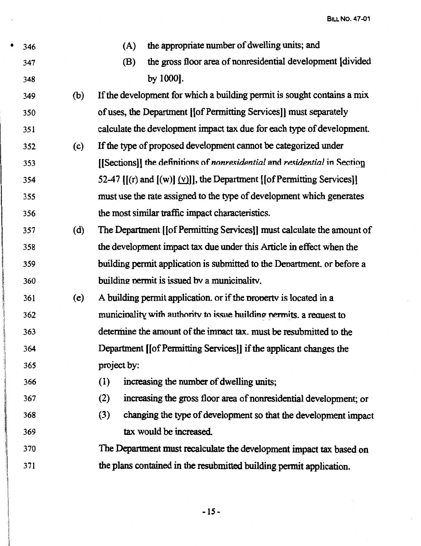$\hat{\mathcal{A}}$ 

| ٠ | 346 |     | the appropriate number of dwelling units; and<br>(A)                          |
|---|-----|-----|-------------------------------------------------------------------------------|
|   | 347 |     | the gross floor area of nonresidential development [divided]<br>(B)           |
|   | 348 |     | by 1000].                                                                     |
|   | 349 | (b) | If the development for which a building permit is sought contains a mix       |
|   | 350 |     | of uses, the Department [[of Permitting Services]] must separately            |
|   | 351 |     | calculate the development impact tax due for each type of development.        |
|   | 352 | (c) | If the type of proposed development cannot be categorized under               |
|   | 353 |     | [[Sections]] the definitions of nonresidential and residential in Section     |
|   | 354 |     | 52-47 $[(r)$ and $[(w)]$ $(y)]$ , the Department $[(of Permitting Services)]$ |
|   | 355 |     | must use the rate assigned to the type of development which generates         |
|   | 356 |     | the most similar traffic impact characteristics.                              |
|   | 357 | (d) | The Department [[of Permitting Services]] must calculate the amount of        |
|   | 358 |     | the development impact tax due under this Article in effect when the          |
|   | 359 |     | building permit application is submitted to the Department, or before a       |
|   | 360 |     | building permit is issued by a municipality.                                  |
|   | 361 | (e) | A building permit application. or if the property is located in a             |
|   | 362 |     | municipality with authority to issue building permits, a request to           |
|   | 363 |     | determine the amount of the impact tax, must be resubmitted to the            |
|   | 364 |     | Department [[of Permitting Services]] if the applicant changes the            |
|   | 365 |     | project by:                                                                   |
|   | 366 |     | (1)<br>increasing the number of dwelling units;                               |
|   | 367 |     | (2)<br>increasing the gross floor area of nonresidential development; or      |
|   | 368 |     | (3)<br>changing the type of development so that the development impact        |
|   | 369 |     | tax would be increased.                                                       |
|   | 370 |     | The Department must recalculate the development impact tax based on           |
|   | 371 |     | the plans contained in the resubmitted building permit application.           |
|   |     |     |                                                                               |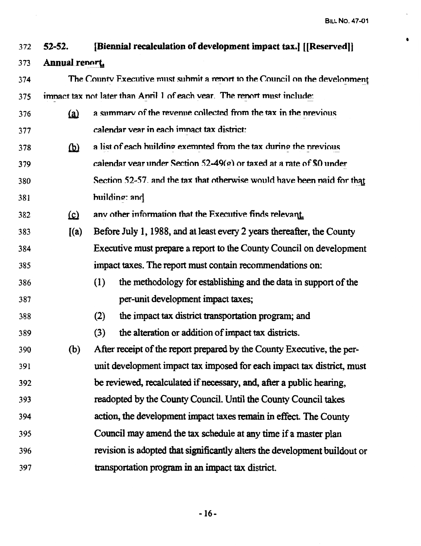**Bill No. 47-01** 

| 372 | $52 - 52$ | [Biennial recalculation of development impact tax.] [[Reserved]] |  |
|-----|-----------|------------------------------------------------------------------|--|
|-----|-----------|------------------------------------------------------------------|--|

#### 373 Annual renort.

| 374 | The County Executive must submit a report to the Council on the development |
|-----|-----------------------------------------------------------------------------|
| 375 | impact tax not later than April 1 of each year. The report must include:    |

- a summary of the revenue collected from the tax in the previous  $(a)$ 376 calendar vear in each imnact tax district: 377
- $(b)$ a list of each building exempted from the tax during the previous 378 calendar year under Section  $52-49(e)$  or taxed at a rate of \$0 under 379 Section 52-57, and the tax that otherwise would have been naid for that 380 building: and 381
- 382  $(c)$ any other information that the Executive finds relevant.
- $I(a)$ Before July 1, 1988, and at least every 2 years thereafter, the County 383 384 Executive must prepare a report to the County Council on development 385 impact taxes. The report must contain recommendations on:
- the methodology for establishing and the data in support of the 386  $(1)$ per-unit development impact taxes; 387
- 388  $(2)$ the impact tax district transportation program; and
- the alteration or addition of impact tax districts. 389  $(3)$
- After receipt of the report prepared by the County Executive, the per- $(b)$ 390 unit development impact tax imposed for each impact tax district, must 391 be reviewed, recalculated if necessary, and, after a public hearing, 392 393 readopted by the County Council. Until the County Council takes action, the development impact taxes remain in effect. The County 394 395 Council may amend the tax schedule at any time if a master plan revision is adopted that significantly alters the development buildout or 396 397 transportation program in an impact tax district.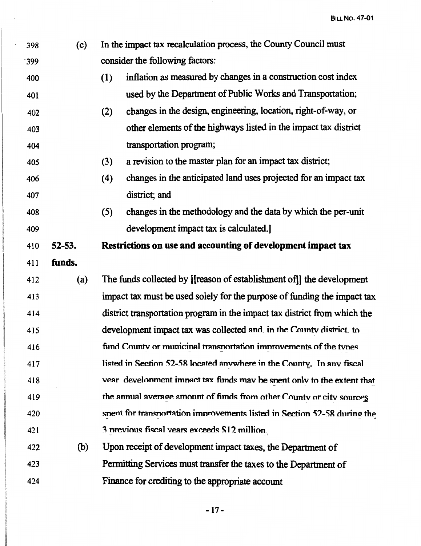| 398 | (c)        | In the impact tax recalculation process, the County Council must          |  |
|-----|------------|---------------------------------------------------------------------------|--|
| 399 |            | consider the following factors:                                           |  |
| 400 |            | inflation as measured by changes in a construction cost index<br>(1)      |  |
| 401 |            | used by the Department of Public Works and Transportation;                |  |
| 402 |            | changes in the design, engineering, location, right-of-way, or<br>(2)     |  |
| 403 |            | other elements of the highways listed in the impact tax district          |  |
| 404 |            | transportation program;                                                   |  |
| 405 |            | a revision to the master plan for an impact tax district;<br>(3)          |  |
| 406 |            | changes in the anticipated land uses projected for an impact tax<br>(4)   |  |
| 407 |            | district; and                                                             |  |
| 408 |            | changes in the methodology and the data by which the per-unit<br>(5)      |  |
| 409 |            | development impact tax is calculated.                                     |  |
| 410 | $52 - 53.$ | Restrictions on use and accounting of development impact tax              |  |
| 411 | funds.     |                                                                           |  |
|     |            |                                                                           |  |
| 412 | (a)        | The funds collected by [[reason of establishment of]] the development     |  |
| 413 |            | impact tax must be used solely for the purpose of funding the impact tax  |  |
| 414 |            | district transportation program in the impact tax district from which the |  |
| 415 |            | development impact tax was collected and in the County district to        |  |
| 416 |            | fund County or municinal transportation improvements of the types         |  |
| 417 |            | listed in Section 52-58 located anywhere in the County. In any fiscal     |  |
| 418 |            | vear. development impact tax funds may be spent only to the extent that   |  |
| 419 |            | the annual average amount of funds from other County or city sources      |  |
| 420 |            | spent for transportation improvements listed in Section 52-58 during the  |  |
| 421 |            | 3 previous fiscal vears exceeds \$12 million.                             |  |
| 422 | (b)        | Upon receipt of development impact taxes, the Department of               |  |
| 423 |            | Permitting Services must transfer the taxes to the Department of          |  |
| 424 |            | Finance for crediting to the appropriate account                          |  |

l,

-17 -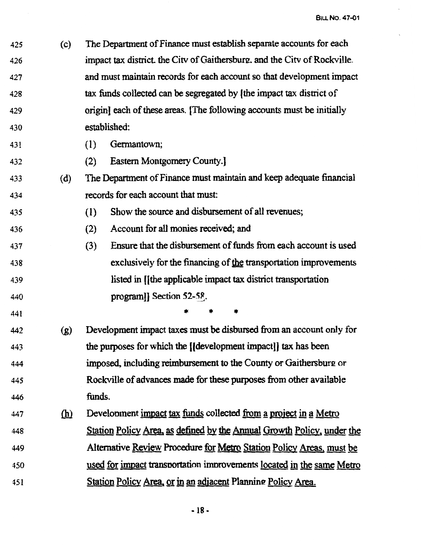425 (c) The Department of Finance must establish separate accounts for each 426 **impact tax district, the City of Gaithersbure, and the City of Rockville.** 427 428 429 430 431 432 and must maintain records for each account so that development impact tax funds collected can be segregated by (the impact tax district of origin] each of these areas. (The following accounts must be initially established: (I) Gennantown; (2) Eastern Montgomery County.] 433 (d) The Department of Finance must maintain and keep adequate financial 434 435 436 437 438 439 440 441 records for each account that must: ( 1) Show the source and disbursement of all revenues; (2) Account for all monies received; and {3) Ensure that the disbursement of funds from each account is used exclusively for the financing of the transportation improvements listed in II the applicable impact tax district transportation program]] Section 52-58. • • • 442 (g) Development impact taxes must be disbursed from an account only for 443 the pwposes for which the [(development impact]] tax has been 444 445 446 imposed, including reimbursement to the County or Gaithersbure: or Rockville of advances made for these purposes from other available funds. 447 (h) Development impact tax funds collected from a project in a Metro 448 Station Policy Area, as defined hY the Annual Growth Policy, under the 449 450 451 Alternative Review Procedure for Metro Station Policy Areas, must be used for impact transnortation imnrovements located in the same Metro Station Policy Area, or in an adjacent Planning Policy Area.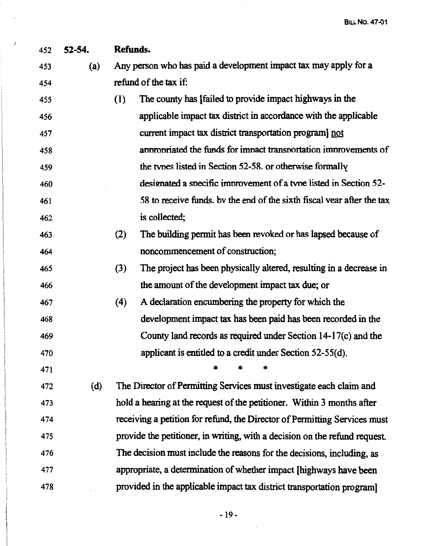| 452 | $52 - 54.$ | Refunds.                                                                   |
|-----|------------|----------------------------------------------------------------------------|
| 453 | (a)        | Any person who has paid a development impact tax may apply for a           |
| 454 |            | refund of the tax if:                                                      |
| 455 |            | The county has [failed to provide impact highways in the<br>(1)            |
| 456 |            | applicable impact tax district in accordance with the applicable           |
| 457 |            | current impact tax district transportation program] not                    |
| 458 |            | appropriated the funds for impact transportation improvements of           |
| 459 |            | the types listed in Section 52-58. or otherwise formally                   |
| 460 |            | designated a specific improvement of a type listed in Section 52-          |
| 461 |            | 58 to receive funds, by the end of the sixth fiscal vear after the tax     |
| 462 |            | is collected;                                                              |
| 463 |            | The building permit has been revoked or has lapsed because of<br>(2)       |
| 464 |            | noncommencement of construction;                                           |
| 465 |            | (3)<br>The project has been physically altered, resulting in a decrease in |
| 466 |            | the amount of the development impact tax due; or                           |
| 467 |            | (4)<br>A declaration encumbering the property for which the                |
| 468 |            | development impact tax has been paid has been recorded in the              |
| 469 |            | County land records as required under Section 14-17(c) and the             |
| 470 |            | applicant is entitled to a credit under Section 52-55(d).                  |
| 471 |            |                                                                            |
| 472 | (d)        | The Director of Permitting Services must investigate each claim and        |
| 473 |            | hold a hearing at the request of the petitioner. Within 3 months after     |
| 474 |            | receiving a petition for refund, the Director of Permitting Services must  |
| 475 |            | provide the petitioner, in writing, with a decision on the refund request. |
| 476 |            | The decision must include the reasons for the decisions, including, as     |
| 477 |            | appropriate, a determination of whether impact [highways have been         |
| 478 |            | provided in the applicable impact tax district transportation program]     |

./

-19-

 $\ddot{\phantom{a}}$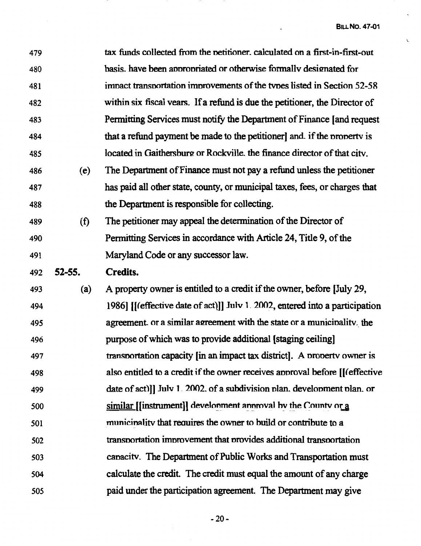$\overline{a}$ 

 $\bar{\mathbf{C}}$ 

| 479 |            | tax funds collected from the petitioner. calculated on a first-in-first-out  |
|-----|------------|------------------------------------------------------------------------------|
| 480 |            | basis. have been appropriated or otherwise formally designated for           |
| 481 |            | impact transportation improvements of the types listed in Section 52-58      |
| 482 |            | within six fiscal vears. If a refund is due the petitioner, the Director of  |
| 483 |            | Permitting Services must notify the Department of Finance [and request       |
| 484 |            | that a refund payment be made to the petitioner and if the property is       |
| 485 |            | located in Gaithersburg or Rockville, the finance director of that city.     |
| 486 | (e)        | The Department of Finance must not pay a refund unless the petitioner        |
| 487 |            | has paid all other state, county, or municipal taxes, fees, or charges that  |
| 488 |            | the Department is responsible for collecting.                                |
| 489 | (f)        | The petitioner may appeal the determination of the Director of               |
| 490 |            | Permitting Services in accordance with Article 24, Title 9, of the           |
| 491 |            | Maryland Code or any successor law.                                          |
| 492 | $52 - 55.$ | <b>Credits.</b>                                                              |
| 493 | (a)        | A property owner is entitled to a credit if the owner, before [July 29,      |
| 494 |            | 1986] [(effective date of act)]] July 1. 2002, entered into a participation  |
| 495 |            | agreement or a similar agreement with the state or a municipality, the       |
| 496 |            | purpose of which was to provide additional [staging ceiling]                 |
| 497 |            | transportation capacity [in an impact tax district]. A property owner is     |
| 498 |            | also entitled to a credit if the owner receives approval before [[(effective |
| 499 |            | date of act)]] July 1. 2002. of a subdivision plan. development plan. or     |
| 500 |            | $\frac{1}{2}$ [[instrument]] development approval by the County or a         |
| 501 |            | municinality that requires the owner to build or contribute to a             |
| 502 |            | transportation improvement that provides additional transportation           |
| 503 |            | capacity. The Department of Public Works and Transportation must             |
| 504 |            | calculate the credit. The credit must equal the amount of any charge         |
| 505 |            | paid under the participation agreement. The Department may give              |
|     |            |                                                                              |

-20-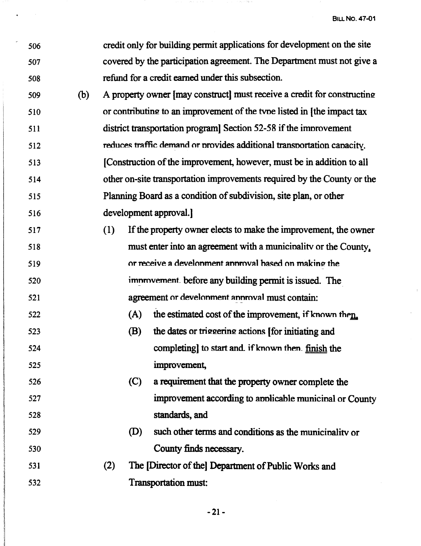$\hat{\mathcal{L}}$ 

| 506 |     |     |     | credit only for building permit applications for development on the site |
|-----|-----|-----|-----|--------------------------------------------------------------------------|
| 507 |     |     |     | covered by the participation agreement. The Department must not give a   |
| 508 |     |     |     | refund for a credit earned under this subsection.                        |
| 509 | (b) |     |     | A property owner [may construct] must receive a credit for constructing  |
| 510 |     |     |     | or contributing to an improvement of the type listed in [the impact tax  |
| 511 |     |     |     | district transportation program Section 52-58 if the improvement         |
| 512 |     |     |     | reduces traffic demand or provides additional transportation capacity.   |
| 513 |     |     |     | [Construction of the improvement, however, must be in addition to all    |
| 514 |     |     |     | other on-site transportation improvements required by the County or the  |
| 515 |     |     |     | Planning Board as a condition of subdivision, site plan, or other        |
| 516 |     |     |     | development approval.]                                                   |
| 517 |     | (1) |     | If the property owner elects to make the improvement, the owner          |
| 518 |     |     |     | must enter into an agreement with a municipality or the County,          |
| 519 |     |     |     | or receive a develonment annroval hased on making the                    |
| 520 |     |     |     | improvement before any building permit is issued. The                    |
| 521 |     |     |     | agreement or develonment annroval must contain:                          |
| 522 |     |     | (A) | the estimated cost of the improvement, if known then.                    |
| 523 |     |     | (B) | the dates or triggering actions [for initiating and                      |
| 524 |     |     |     | completing] to start and if known then. finish the                       |
| 525 |     |     |     | improvement,                                                             |
| 526 |     |     | (C) | a requirement that the property owner complete the                       |
| 527 |     |     |     | improvement according to applicable municipal or County                  |
| 528 |     |     |     | standards, and                                                           |
| 529 |     |     | (D) | such other terms and conditions as the municipality or                   |
| 530 |     |     |     | County finds necessary.                                                  |
| 531 |     | (2) |     | The [Director of the] Department of Public Works and                     |
| 532 |     |     |     | Transportation must:                                                     |

 $\gamma\gamma$  ,  $\gamma_1\ll\gamma$  for  $\gamma$ 

 $\sim$   $\sim$ 

-21-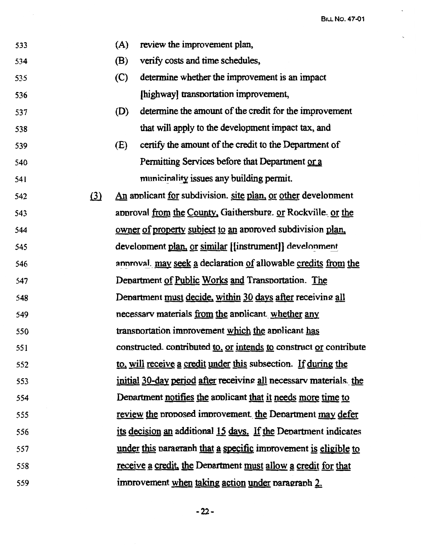

-22-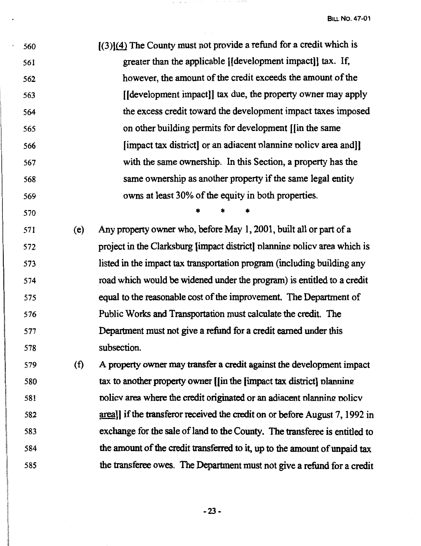, 560 561 562 563 564 565 566 567 568 569  $[(3)](4)$  The County must not provide a refund for a credit which is greater than the applicable [[development impact]] tax. If, however, the amount of the credit exceeds the amount of the [[development impact]] tax due, the property owner may apply the excess credit toward the development impact taxes imposed on other building permits for development [[in the same [impact tax district] or an adiacent planning policy area and]] with the same ownership. In this Section, a property has the same ownership as another property if the same legal entity owns at least 30% of the equity in both properties.

570

\* \* \*

571 ( e) Any property owner who, before May 1, 2001, built all or part of a 572 573 574 575 576 577 578 project in the Clarksburg [impact district] planning policy area which is listed in the impact tax transportation program (including building any road which would be widened under the program) is entitled to a credit equal to the reasonable cost of the improvement. The Department of Public Works and Transportation must calculate the credit. The Department must not give a refund for a credit earned under this subsection.

579 (f) A property owner may transfer a credit against the development impact 580 tax to another property owner [[in the [impact tax district] planning 581 582 583 584 585 nolicy area where the credit originated or an adiacent planning policy area]] if the transferor received the credit on or before August 7, 1992 in exchange for the sale of land to the County. The transferee is entitled to the amount of the credit transferred to it, up to the amount of unpaid tax the transferee owes. The Department must not give a refund for a credit

-23-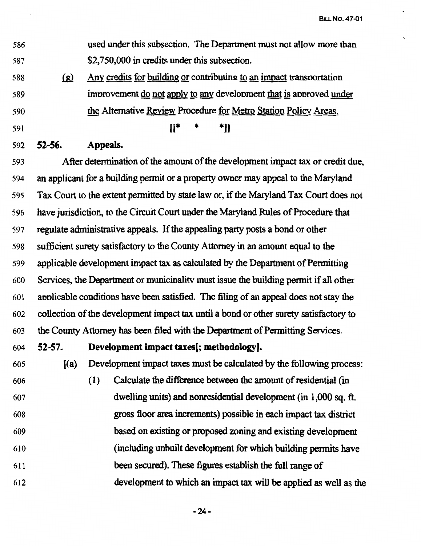| 586 | used under this subsection. The Department must not allow more than  |
|-----|----------------------------------------------------------------------|
| 587 | \$2,750,000 in credits under this subsection.                        |
| 588 | Any credits for building or contributing to an impact transportation |

improvement do not apply to any development that is approved under

the Alternative Review Procedure for Metro Station Policy Areas.

- 589
- 590
- 591

 $[$  \* \* \*]]

592 **52-56. Appeals.** 

593 After determination of the amount of the development impact tax or credit due, 594 an applicant for a building permit or a property owner may appeal to the Maryland 595 Tax Court to the extent permitted by state law or, if the Maryland Tax Court does not 596 have jurisdiction, to the Circuit Court under the Maryland Rules of Procedure that 597 regulate administrative appeals. If the appealing party posts a bond or other 598 sufficient surety satisfactory to the County Attorney in an amount equal to the 599 applicable development impact tax as calculated by the Department of Permitting 600 Services, the Department or municinalitv must issue the building permit if all other 60 l annlicable conditions have been satisfied. The filing of an appeal does not stay the 602 collection of the development impact tax until a bond or other surety satisfactory to 603 the County Attorney has been filed with the Department of Pennitting Services.

604 **52-57. Development impact taxes[; methodology).** 

605 ((a) Development impact taxes must be calculated by the following process: 606 ( 1) Calculate the difference between the amount of residential (in 607 dwelling units) and nonresidential development (in 1,000 sq. ft. 608 gross floor area increments) possible in each impact tax district 609 based on existing or proposed zoning and existing development <sup>61</sup>o (including unbuilt development for which building permits have 611 been secured). These figures establish the full range of 612 development to which an impact tax will be applied as well as the

**-24-**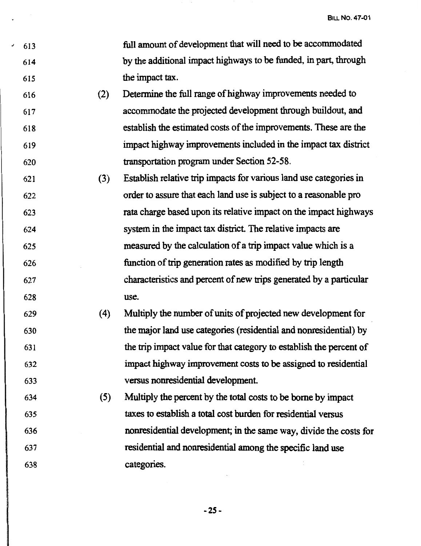- 613 614 615 full amount of development that will need to be accommodated by the additional impact highways to be funded, in part, through the impact tax.
- 616 617 618 619 620 (2) Detennine the full range of highway improvements needed to accommodate the projected development through buildout, and establish the estimated costs of the improvements. These are the impact highway improvements included in the impact tax district transportation program under Section 52-58.
- 621 622 623 624 625 626 627 628 (3) Establish relative trip impacts for various land use categories in order to assure that each land use is subject to a reasonable pro rata charge based upon its relative impact on the impact highways system in the impact tax district. The relative impacts are measured by the calculation of a trip impact value which is a function of trip generation rates as modified by trip length characteristics and percent of new trips generated by a particular use.
- 629 630 631 632 633 (4) Multiply the number of units of projected new development for the major land use categories (residential and nonresidential) by the trip impact value for that category to establish the percent of impact highway improvement costs to be assigned to residential versus nonresidential development.
- 634 635 636 637 638 ( 5) Multiply the percent by the total costs to be borne by impact taxes to establish a total cost burden for residential versus nonresidential development; in the same way, divide the costs for residential and nonresidential among the specific land use categories.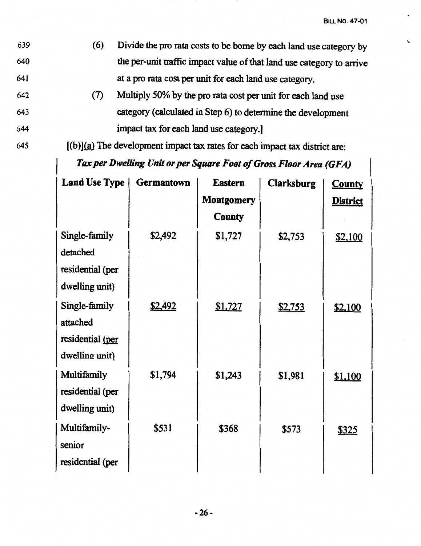- 639 (6) Divide the pro rata costs to be borne by each land use category by \. 640 the per-unit traffic impact value of that land use category to arrive 641 at a pro rata cost per unit for each land use category.
- 642 (7) Multiply *50%* by the pro rata cost per unit for each land use 643 category ( calculated in Step 6) to detennine the development 644 impact tax for each land use category.]
- $[$ (b) $]$ (a) The development impact tax rates for each impact tax district are:

*Tax per Dwelling Unit or per Square Foot of Gross Floor Area (GFA)* 

| <b>Land Use Type</b> | <b>Germantown</b> | <b>Eastern</b>    | <b>Clarksburg</b> | <b>County</b>   |
|----------------------|-------------------|-------------------|-------------------|-----------------|
|                      |                   | <b>Montgomery</b> |                   | <b>District</b> |
|                      |                   | <b>County</b>     |                   |                 |
| Single-family        | \$2,492           | \$1,727           | \$2,753           | <u>\$2,100</u>  |
| detached             |                   |                   |                   |                 |
| residential (per     |                   |                   |                   |                 |
| dwelling unit)       |                   |                   |                   |                 |
| Single-family        | <u>\$2,492</u>    | \$1,727           | <u>\$2,753</u>    | \$2,100         |
| attached             |                   |                   |                   |                 |
| residential (per     |                   |                   |                   |                 |
| dwelling unit)       |                   |                   |                   |                 |
| Multifamily          | \$1,794           | \$1,243           | \$1,981           | \$1,100         |
| residential (per     |                   |                   |                   |                 |
| dwelling unit)       |                   |                   |                   |                 |
| Multifamily-         | \$531             | \$368             | \$573             | <u>\$325</u>    |
| senior               |                   |                   |                   |                 |
| residential (per     |                   |                   |                   |                 |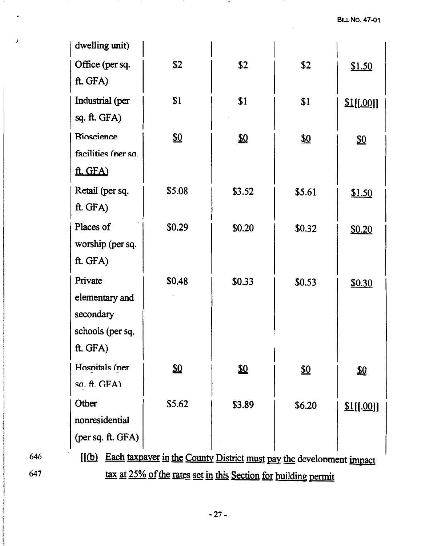|     | dwelling unit)                                                  |                                                                      |            |        |            |
|-----|-----------------------------------------------------------------|----------------------------------------------------------------------|------------|--------|------------|
|     | Office (per sq.                                                 | \$2                                                                  | \$2        | \$2    | \$1.50     |
|     | ft. GFA)                                                        |                                                                      |            |        |            |
|     | Industrial (per                                                 | \$1                                                                  | \$1        | \$1    | \$1[[.00]] |
|     | sq. ft. GFA)                                                    |                                                                      |            |        |            |
|     | <b>Bioscience</b>                                               | SΩ                                                                   | ΣΩ         | ⅏      | ⅏          |
|     | facilities (ner so.                                             |                                                                      |            |        |            |
|     | ft. GFA)                                                        |                                                                      |            |        |            |
|     | Retail (per sq.                                                 | \$5.08                                                               | \$3.52     | \$5.61 | \$1.50     |
|     | ft. GFA)                                                        |                                                                      |            |        |            |
|     | Places of                                                       | \$0.29                                                               | \$0.20     | \$0.32 | \$0.20     |
|     | worship (per sq.                                                |                                                                      |            |        |            |
|     | ft. GFA)                                                        |                                                                      |            |        |            |
|     | Private                                                         | \$0.48                                                               | \$0.33     | \$0.53 | \$0.30     |
|     | elementary and                                                  |                                                                      |            |        |            |
|     | secondary                                                       |                                                                      |            |        |            |
|     | schools (per sq.                                                |                                                                      |            |        |            |
|     | ft. GFA)                                                        |                                                                      |            |        |            |
|     | Hospitals (ner                                                  | SΩ                                                                   | <u>\$0</u> | ⅏      | ⅏          |
|     | sa. $ft.$ GFA)                                                  |                                                                      |            |        |            |
|     | Other                                                           | \$5.62                                                               | \$3.89     | \$6.20 | \$1[[.00]] |
|     | nonresidential                                                  |                                                                      |            |        |            |
|     | (per sq. ft. GFA)                                               |                                                                      |            |        |            |
| 646 | $\mathcal{L}$                                                   | Each taxpayer in the County District must pay the development impact |            |        |            |
| 647 | tax at 25% of the rates set in this Section for building permit |                                                                      |            |        |            |

**MA** 

*j*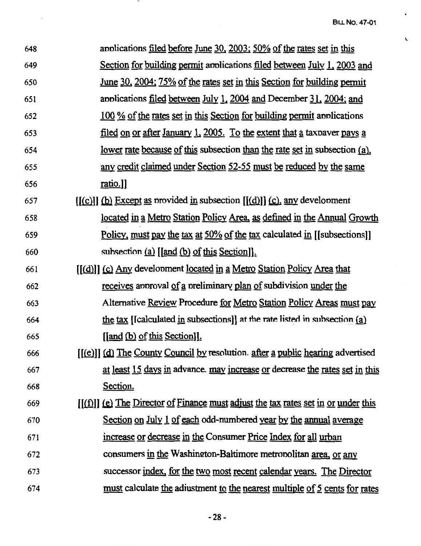$\ddot{\phantom{0}}$ 

 $\mathbf{v}$ 

| 648 | applications filed before June 30, 2003; 50% of the rates set in this               |
|-----|-------------------------------------------------------------------------------------|
| 649 | Section for building permit applications filed between July 1, 2003 and             |
| 650 | <u>June 30, 2004; 75% of the rates set in this Section for building permit</u>      |
| 651 | applications <u>filed between July 1, 2004</u> and December 31, 2004; and           |
| 652 | 100 % of the rates set in this Section for building permit applications             |
| 653 | <u>filed on or after January 1, 2005. To the extent that a</u> taxpaver pays a      |
| 654 | <u>lower rate because of this subsection than the rate set in subsection (a)</u> ,  |
| 655 | <u>any credit claimed under Section 52-55 must be reduced by the same</u>           |
| 656 | ratio.]]                                                                            |
| 657 | $[(c)]$ (b) Except as provided in subsection $[(d)]$ (c), any development           |
| 658 | <u>located in a Metro Station Policy Area, as defined in the Annual Growth</u>      |
| 659 | Policy, must pay the tax at 50% of the tax calculated in [[subsections]]            |
| 660 | subsection $(a)$ [[and $(b)$ of this Section]].                                     |
| 661 | <u>[(d)]</u> (c) Any development <u>located</u> in a Metro Station Policy Area that |
| 662 | receives approval of a preliminary plan of subdivision under the                    |
| 663 | Alternative Review Procedure for Metro Station Policy Areas must pay                |
| 664 | the tax [Icalculated in subsections]] at the rate listed in subsection $(a)$        |
| 665 | $\left[ \left[ \text{and } (b) \text{ of this Section} \right] \right]$ .           |
| 666 | [(e)]] (d) The County Council by resolution. after a public hearing advertised      |
| 667 | at least 15 days in advance. may increase or decrease the rates set in this         |
| 668 | Section.                                                                            |
| 669 | $[(f)]$ (e) The Director of Finance must adjust the tax rates set in or under this  |
| 670 | Section on July 1 of each odd-numbered year by the annual average                   |
| 671 | increase or decrease in the Consumer Price Index for all urban                      |
| 672 | consumers in the Washington-Baltimore metropolitan area, or any                     |
| 673 | successor index, for the two most recent calendar years. The Director               |
| 674 | <u>must</u> calculate the adjustment to the nearest multiple of 5 cents for rates   |

 $\overline{\phantom{a}}$ 

 $\mathcal{A}_{\mathcal{A}}$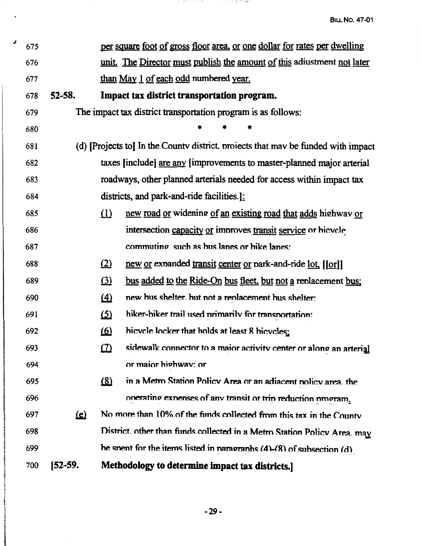| 675 |            |            | per square foot of gross floor area, or one dollar for rates per dwelling         |
|-----|------------|------------|-----------------------------------------------------------------------------------|
| 676 |            |            | unit. The Director must publish the amount of this adiustment not later           |
| 677 |            |            | than May 1 of each odd numbered year.                                             |
| 678 | $52 - 58.$ |            | Impact tax district transportation program.                                       |
| 679 |            |            | The impact tax district transportation program is as follows:                     |
| 680 |            |            |                                                                                   |
| 681 |            |            | (d) [Projects to] In the County district, projects that may be funded with impact |
| 682 |            |            | taxes [include] are any [improvements to master-planned major arterial            |
| 683 |            |            | roadways, other planned arterials needed for access within impact tax             |
| 684 |            |            | districts, and park-and-ride facilities.]:                                        |
| 685 |            | $\Omega$   | new road or widening of an existing road that adds highway or                     |
| 686 |            |            | intersection capacity or improves transit service or hicvele                      |
| 687 |            |            | commuting, such as hus lanes or hike lanes;                                       |
| 688 |            | (2)        | new or expanded transit center or park-and-ride lot. [[or]]                       |
| 689 |            | $\Omega$   | bus added to the Ride-On bus fleet, but not a replacement bus;                    |
| 690 |            | $\Delta$   | new bus shelter, but not a replacement bus shelter:                               |
| 691 |            | <u>(5)</u> | hiker-hiker trail used primarily for transportation:                              |
| 692 |            | <u>(6)</u> | bicvele locker that holds at least 8 bicveles:                                    |
| 693 |            | $\Omega$   | sidewalk connector to a maior activity center or along an arterial                |
| 694 |            |            | or maior highway: or                                                              |
| 695 |            | $\Omega$   | in a Metro Station Policy Area or an adiacent nolicy area, the                    |
| 696 |            |            | onerating expenses of any transit or trip reduction program.                      |
| 697 | <u>(e)</u> |            | No more than 10% of the funds collected from this tax in the County               |
| 698 |            |            | District. other than funds collected in a Metro Station Policy Area. may          |
| 699 |            |            | be spent for the items listed in paragraphs $(4)-(8)$ of subsection $(d)$ .       |
| 700 | [52-59.    |            | Methodology to determine impact tax districts.                                    |

ਾਰ ਪਰੇਲੇ ਨੂੰ ਦੀ ਜਦੋਂ <sup>ਲ</sup>ੇ ਹਨ। ਨੂੰ ਦੂਜੇ ਦੀ ਤੇ ਸ਼੍ਰੀ *ਦੀ*ਅਲੇ**ਆ** ਦੇ

 $\overline{\phantom{a}}$ 

 $\pmb{\lambda}$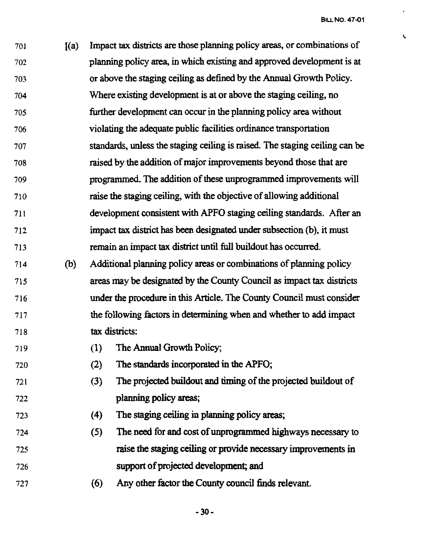$\epsilon$ 

701 ((a) Impact tax districts are those planning policy areas, or combinations of 702 planning policy area, in which existing and approved development is at 703 or above the staging ceiling as defined by the Annual Growth Policy. 704 705 706 707 708 709 710 711 Where existing development is at or above the staging ceiling, no further development can occur in the planning policy area without violating the adequate public facilities ordinance transportation standards, unless the staging ceiling is raised. The staging ceiling can be raised by the addition of major improvements beyond those that are programmed. The addition of these unprogrammed improvements will raise the staging ceiling, with the objective of allowing additional development consistent with APFO staging ceiling standards. After an 712 impact tax district has been designated under subsection (b ), it must 713 remain an impact tax district until full buildout has occurred. 714 (b) Additional planning policy areas or combinations of planning policy 715 716 717 718 719 720 721 722 723 724 725 726 areas may be designated by the County Council as impact tax districts under the procedure in this Article. The County Council must consider the following factors in determining when and whether to add impact tax districts: ( 1) The Annual Growth Policy; (2) The standards incorporated in the APFO; (3) The projected buildout and timing of the projected buildout of planning policy areas; ( 4) The staging ceiling in planning policy areas; (5) The need for and cost of unprogrammed highways necessary to raise the staging ceiling or provide necessary improvements in support of projected development; and

727 ( 6) Any other factor the County council finds relevant.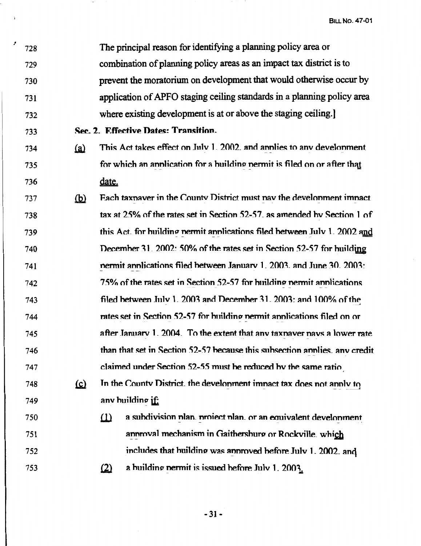| 728 |            | The principal reason for identifying a planning policy area or             |
|-----|------------|----------------------------------------------------------------------------|
| 729 |            | combination of planning policy areas as an impact tax district is to       |
| 730 |            | prevent the moratorium on development that would otherwise occur by        |
| 731 |            | application of APFO staging ceiling standards in a planning policy area    |
| 732 |            | where existing development is at or above the staging ceiling.             |
| 733 |            | Sec. 2. Effective Dates: Transition.                                       |
| 734 | <u>(a)</u> | This Act takes effect on July 1. 2002. and annies to any develonment       |
| 735 |            | for which an annication for a huilding nermit is filed on or after that    |
| 736 |            | date.                                                                      |
| 737 | <u>(b)</u> | Each taxnaver in the County District must nav the development imnact       |
| 738 |            | tax at 25% of the rates set in Section 52-57, as amended by Section 1 of   |
| 739 |            | this Act, for building nermit annications filed between July 1. 2002 and   |
| 740 |            | December 31. 2002: 50% of the rates set in Section 52-57 for huilding      |
| 741 |            | nermit annications filed between January 1, 2003, and June 30, 2003:       |
| 742 |            | 75% of the rates set in Section 52-57 for building permit applications     |
| 743 |            | filed between July 1. 2003 and December 31. 2003: and 100% of the          |
| 744 |            | rates set in Section 52-57 for building nermit applications filed on or    |
| 745 |            | after January 1. 2004. To the extent that any taxnaver nays a lower rate   |
| 746 |            | than that set in Section 52-57 because this subsection annlies, any credit |
| 747 |            | claimed under Section 52-55 must be reduced by the same ratio              |
| 748 | <u>(്</u>  | In the County District, the development impact tax does not apply to       |
| 749 |            | anv building $\mathbf{if}$                                                 |
| 750 |            | a subdivision plan. project plan. or an equivalent development<br>$\Omega$ |
| 751 |            | annroval mechanism in Gaithershurg or Rockville. which                     |
| 752 |            | includes that huilding was annroved before July 1. 2002. and               |
| 753 |            | a building nermit is issued before July 1. 2003.<br>(2)                    |
|     |            |                                                                            |

 $\overline{\phantom{a}}$ 

 $\Delta$ 

 $\pmb{\mathcal{F}}$